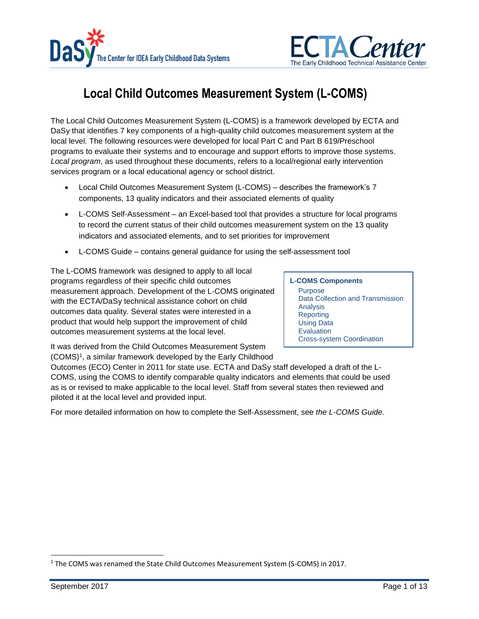



# **Local Child Outcomes Measurement System (L-COMS)**

The Local Child Outcomes Measurement System (L-COMS) is a framework developed by ECTA and DaSy that identifies 7 key components of a high-quality child outcomes measurement system at the local level. The following resources were developed for local Part C and Part B 619/Preschool programs to evaluate their systems and to encourage and support efforts to improve those systems. *Local program*, as used throughout these documents, refers to a local/regional early intervention services program or a local educational agency or school district.

- [Local Child Outcomes Measurement System \(L-COMS\)](http://ectacenter.org/eco/assets/pdfs/L-COMS_Framework.pdf) describes the framework's 7 components, 13 quality indicators and their associated elements of quality
- [L-COMS Self-Assessment](http://ectacenter.org/eco/assets/xls/L-COMS_Self-Assessment.xlsm) an Excel-based tool that provides a structure for local programs to record the current status of their child outcomes measurement system on the 13 quality indicators and associated elements, and to set priorities for improvement
- [L-COMS Guide](http://ectacenter.org/eco/assets/pdfs/L-COMS_Self-Assessment_Guidance.pdf)  contains general guidance for using the self-assessment tool

The L-COMS framework was designed to apply to all local programs regardless of their specific child outcomes measurement approach. Development of the L-COMS originated with the ECTA/DaSy technical assistance cohort on child outcomes data quality. Several states were interested in a product that would help support the improvement of child outcomes measurement systems at the local level.

#### **L-COMS Components**

Purpose Data Collection and Transmission Analysis **Reporting** Using Data **Evaluation** Cross-system Coordination

It was derived from the Child Outcomes Measurement System (COMS)<sup>1</sup> , a similar framework developed by the Early Childhood

Outcomes (ECO) Center in 2011 for state use. ECTA and DaSy staff developed a draft of the L-COMS, using the COMS to identify comparable quality indicators and elements that could be used as is or revised to make applicable to the local level. Staff from several states then reviewed and piloted it at the local level and provided input.

For more detailed information on how to complete the Self-Assessment, see *the L-COMS Guide*.

<sup>&</sup>lt;sup>1</sup> The COMS was renamed the State Child Outcomes Measurement System (S-COMS) in 2017.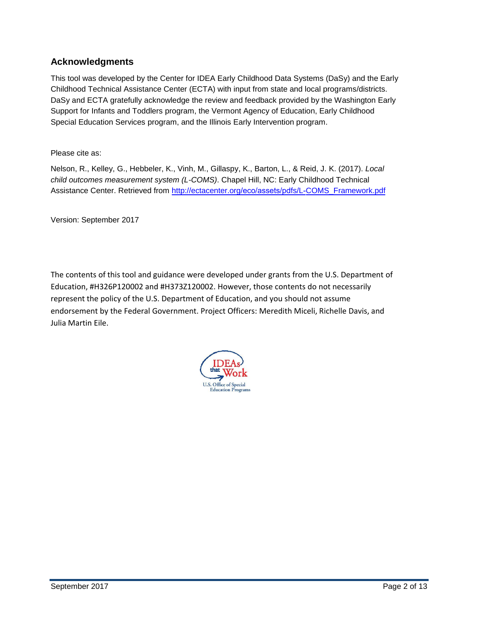### **Acknowledgments**

This tool was developed by the Center for IDEA Early Childhood Data Systems (DaSy) and the Early Childhood Technical Assistance Center (ECTA) with input from state and local programs/districts. DaSy and ECTA gratefully acknowledge the review and feedback provided by the Washington Early Support for Infants and Toddlers program, the Vermont Agency of Education, Early Childhood Special Education Services program, and the Illinois Early Intervention program.

Please cite as:

Nelson, R., Kelley, G., Hebbeler, K., Vinh, M., Gillaspy, K., Barton, L., & Reid, J. K. (2017). *Local child outcomes measurement system (L-COMS)*. Chapel Hill, NC: Early Childhood Technical Assistance Center. Retrieved from [http://ectacenter.org/](http://ectacenter.org/eco/assets/pdfs/L-COMS_Framework.pdf)eco/assets/pdfs/L-COMS\_Framework.pdf

Version: September 2017

The contents of this tool and guidance were developed under grants from the U.S. Department of Education, #H326P120002 and #H373Z120002. However, those contents do not necessarily represent the policy of the U.S. Department of Education, and you should not assume endorsement by the Federal Government. Project Officers: Meredith Miceli, Richelle Davis, and Julia Martin Eile.

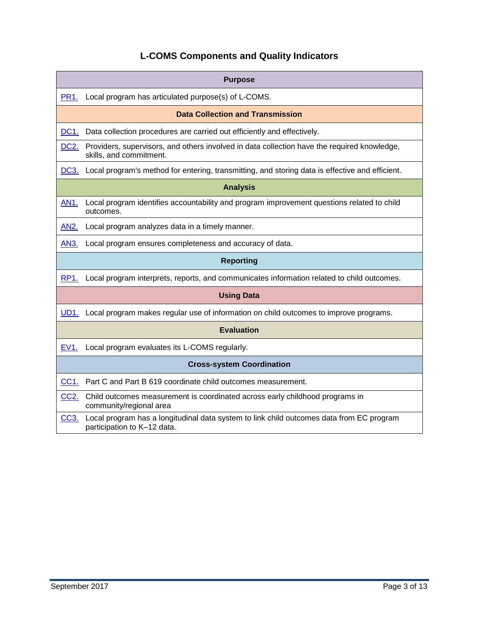## **L-COMS Components and Quality Indicators**

| <b>Purpose</b>                                                                                                                               |  |
|----------------------------------------------------------------------------------------------------------------------------------------------|--|
| Local program has articulated purpose(s) of L-COMS.<br>PR1.                                                                                  |  |
| <b>Data Collection and Transmission</b>                                                                                                      |  |
| DC1.<br>Data collection procedures are carried out efficiently and effectively.                                                              |  |
| DC <sub>2</sub><br>Providers, supervisors, and others involved in data collection have the required knowledge,<br>skills, and commitment.    |  |
| Local program's method for entering, transmitting, and storing data is effective and efficient.<br>DC3.                                      |  |
| <b>Analysis</b>                                                                                                                              |  |
| Local program identifies accountability and program improvement questions related to child<br>AN1.<br>outcomes.                              |  |
| <b>AN2.</b><br>Local program analyzes data in a timely manner.                                                                               |  |
| Local program ensures completeness and accuracy of data.<br>AN3.                                                                             |  |
| <b>Reporting</b>                                                                                                                             |  |
| Local program interprets, reports, and communicates information related to child outcomes.<br>RP <sub>1</sub>                                |  |
| <b>Using Data</b>                                                                                                                            |  |
| Local program makes regular use of information on child outcomes to improve programs.<br><b>UD1.</b>                                         |  |
| <b>Evaluation</b>                                                                                                                            |  |
| Local program evaluates its L-COMS regularly.<br>EV <sub>1</sub> .                                                                           |  |
| <b>Cross-system Coordination</b>                                                                                                             |  |
| Part C and Part B 619 coordinate child outcomes measurement.<br>CC <sub>1</sub>                                                              |  |
| CC <sub>2</sub> .<br>Child outcomes measurement is coordinated across early childhood programs in<br>community/regional area                 |  |
| Local program has a longitudinal data system to link child outcomes data from EC program<br>CC <sub>3</sub> .<br>participation to K-12 data. |  |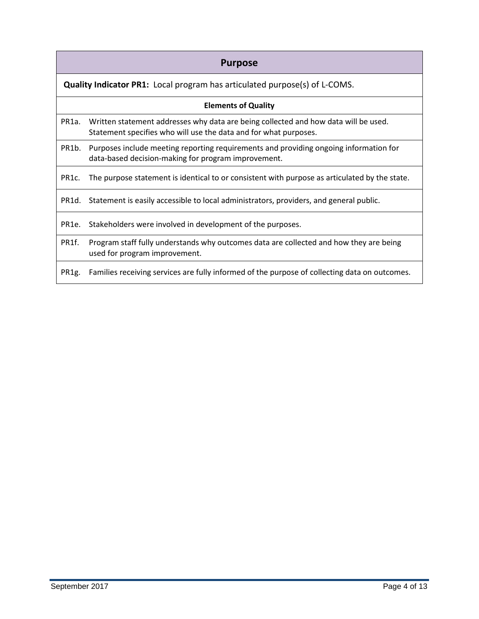## **Purpose**

<span id="page-3-0"></span>**Quality Indicator PR1:** Local program has articulated purpose(s) of L-COMS.

#### **Elements of Quality**

- PR1a. Written statement addresses why data are being collected and how data will be used. Statement specifies who will use the data and for what purposes.
- PR1b. Purposes include meeting reporting requirements and providing ongoing information for data-based decision-making for program improvement.
- PR1c. The purpose statement is identical to or consistent with purpose as articulated by the state.

PR1d. Statement is easily accessible to local administrators, providers, and general public.

PR1e. Stakeholders were involved in development of the purposes.

PR1f. Program staff fully understands why outcomes data are collected and how they are being used for program improvement.

PR1g. Families receiving services are fully informed of the purpose of collecting data on outcomes.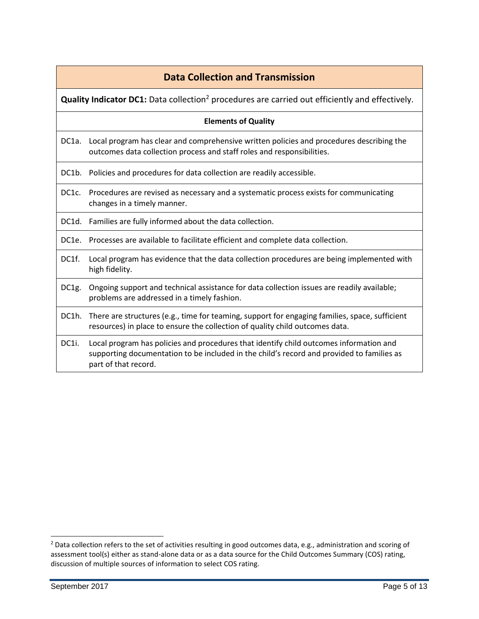## **Data Collection and Transmission**

<span id="page-4-0"></span>**Quality Indicator DC1:** Data collection<sup>2</sup> procedures are carried out efficiently and effectively.

#### **Elements of Quality**

DC1a. Local program has clear and comprehensive written policies and procedures describing the outcomes data collection process and staff roles and responsibilities.

DC1b. Policies and procedures for data collection are readily accessible.

DC1c. Procedures are revised as necessary and a systematic process exists for communicating changes in a timely manner.

DC1d. Families are fully informed about the data collection.

DC1e. Processes are available to facilitate efficient and complete data collection.

- DC1f. Local program has evidence that the data collection procedures are being implemented with high fidelity.
- DC1g. Ongoing support and technical assistance for data collection issues are readily available; problems are addressed in a timely fashion.
- DC1h. There are structures (e.g., time for teaming, support for engaging families, space, sufficient resources) in place to ensure the collection of quality child outcomes data.
- DC1i. Local program has policies and procedures that identify child outcomes information and supporting documentation to be included in the child's record and provided to families as part of that record.

l

<sup>&</sup>lt;sup>2</sup> Data collection refers to the set of activities resulting in good outcomes data, e.g., administration and scoring of assessment tool(s) either as stand-alone data or as a data source for the Child Outcomes Summary (COS) rating, discussion of multiple sources of information to select COS rating.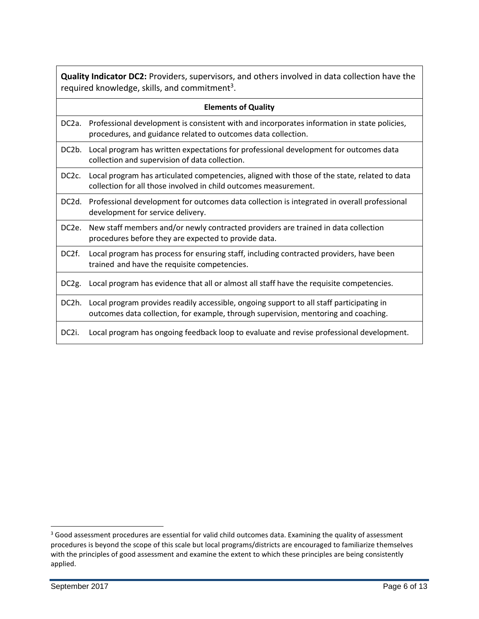<span id="page-5-0"></span>**Quality Indicator DC2:** Providers, supervisors, and others involved in data collection have the required knowledge, skills, and commitment<sup>3</sup>.

|                    | <b>Elements of Quality</b>                                                                                                                                                      |
|--------------------|---------------------------------------------------------------------------------------------------------------------------------------------------------------------------------|
| DC <sub>2</sub> a. | Professional development is consistent with and incorporates information in state policies,<br>procedures, and guidance related to outcomes data collection.                    |
| DC2b.              | Local program has written expectations for professional development for outcomes data<br>collection and supervision of data collection.                                         |
| DC <sub>2</sub> c. | Local program has articulated competencies, aligned with those of the state, related to data<br>collection for all those involved in child outcomes measurement.                |
| DC <sub>2</sub> d. | Professional development for outcomes data collection is integrated in overall professional<br>development for service delivery.                                                |
| DC <sub>2</sub> e. | New staff members and/or newly contracted providers are trained in data collection<br>procedures before they are expected to provide data.                                      |
| DC <sub>2</sub> f. | Local program has process for ensuring staff, including contracted providers, have been<br>trained and have the requisite competencies.                                         |
| DC <sub>2g</sub> . | Local program has evidence that all or almost all staff have the requisite competencies.                                                                                        |
| DC2h.              | Local program provides readily accessible, ongoing support to all staff participating in<br>outcomes data collection, for example, through supervision, mentoring and coaching. |
| DC <sub>2i</sub> . | Local program has ongoing feedback loop to evaluate and revise professional development.                                                                                        |
|                    |                                                                                                                                                                                 |

l

<sup>&</sup>lt;sup>3</sup> Good assessment procedures are essential for valid child outcomes data. Examining the quality of assessment procedures is beyond the scope of this scale but local programs/districts are encouraged to familiarize themselves with the principles of good assessment and examine the extent to which these principles are being consistently applied.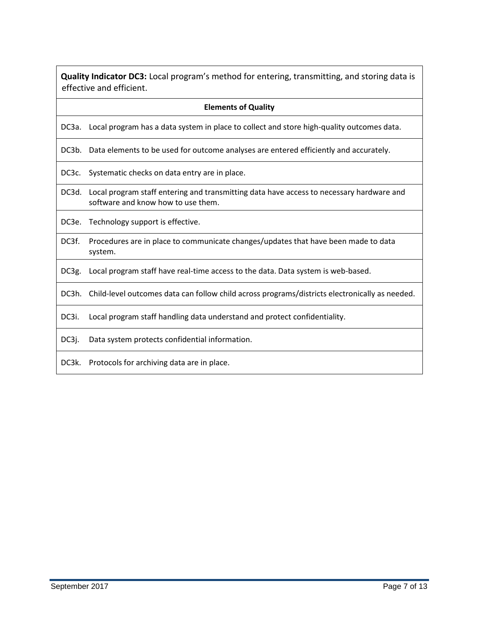<span id="page-6-0"></span>**Quality Indicator DC3:** Local program's method for entering, transmitting, and storing data is effective and efficient.

#### **Elements of Quality**

DC3a. Local program has a data system in place to collect and store high-quality outcomes data.

DC3b. Data elements to be used for outcome analyses are entered efficiently and accurately.

DC3c. Systematic checks on data entry are in place.

DC3d. Local program staff entering and transmitting data have access to necessary hardware and software and know how to use them.

DC3e. Technology support is effective.

DC3f. Procedures are in place to communicate changes/updates that have been made to data system.

DC3g. Local program staff have real-time access to the data. Data system is web-based.

DC3h. Child-level outcomes data can follow child across programs/districts electronically as needed.

DC3i. Local program staff handling data understand and protect confidentiality.

DC3j. Data system protects confidential information.

DC3k. Protocols for archiving data are in place.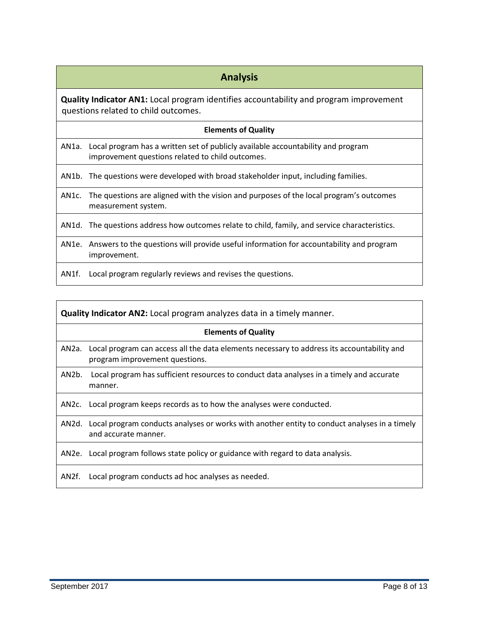## **Analysis**

<span id="page-7-0"></span>**Quality Indicator AN1:** Local program identifies accountability and program improvement questions related to child outcomes.

#### **Elements of Quality**

AN1a. Local program has a written set of publicly available accountability and program improvement questions related to child outcomes.

AN1b. The questions were developed with broad stakeholder input, including families.

AN1c. The questions are aligned with the vision and purposes of the local program's outcomes measurement system.

AN1d. The questions address how outcomes relate to child, family, and service characteristics.

- AN1e. Answers to the questions will provide useful information for accountability and program improvement.
- AN1f. Local program regularly reviews and revises the questions.

<span id="page-7-1"></span>

| <b>Quality Indicator AN2:</b> Local program analyzes data in a timely manner. |                                                                                                                                    |  |
|-------------------------------------------------------------------------------|------------------------------------------------------------------------------------------------------------------------------------|--|
| <b>Elements of Quality</b>                                                    |                                                                                                                                    |  |
|                                                                               | AN2a. Local program can access all the data elements necessary to address its accountability and<br>program improvement questions. |  |
| AN2b.                                                                         | Local program has sufficient resources to conduct data analyses in a timely and accurate<br>manner.                                |  |
| AN2c.                                                                         | Local program keeps records as to how the analyses were conducted.                                                                 |  |
|                                                                               | AN2d. Local program conducts analyses or works with another entity to conduct analyses in a timely<br>and accurate manner.         |  |
|                                                                               | AN2e. Local program follows state policy or guidance with regard to data analysis.                                                 |  |
| AN2f.                                                                         | Local program conducts ad hoc analyses as needed.                                                                                  |  |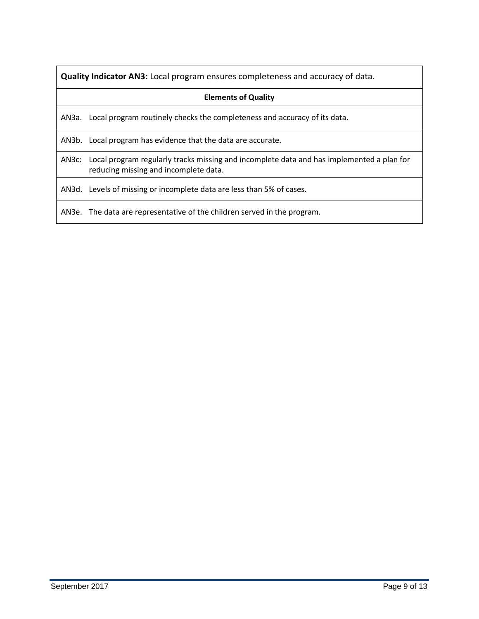<span id="page-8-0"></span>**Quality Indicator AN3:** Local program ensures completeness and accuracy of data.

#### **Elements of Quality**

AN3a. Local program routinely checks the completeness and accuracy of its data.

AN3b. Local program has evidence that the data are accurate.

AN3c: Local program regularly tracks missing and incomplete data and has implemented a plan for reducing missing and incomplete data.

AN3d. Levels of missing or incomplete data are less than 5% of cases.

AN3e. The data are representative of the children served in the program.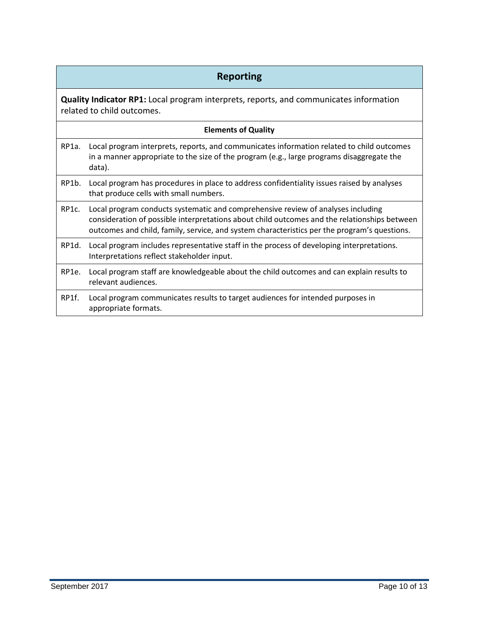## **Reporting**

<span id="page-9-0"></span>**Quality Indicator RP1:** Local program interprets, reports, and communicates information related to child outcomes.

| <b>Elements of Quality</b> |                                                                                                                                                                                                                                                                                  |  |
|----------------------------|----------------------------------------------------------------------------------------------------------------------------------------------------------------------------------------------------------------------------------------------------------------------------------|--|
| RP1a.                      | Local program interprets, reports, and communicates information related to child outcomes<br>in a manner appropriate to the size of the program (e.g., large programs disaggregate the<br>data).                                                                                 |  |
| RP1b.                      | Local program has procedures in place to address confidentiality issues raised by analyses<br>that produce cells with small numbers.                                                                                                                                             |  |
| RP <sub>1</sub> c.         | Local program conducts systematic and comprehensive review of analyses including<br>consideration of possible interpretations about child outcomes and the relationships between<br>outcomes and child, family, service, and system characteristics per the program's questions. |  |
| RP1d.                      | Local program includes representative staff in the process of developing interpretations.<br>Interpretations reflect stakeholder input.                                                                                                                                          |  |
| RP1e.                      | Local program staff are knowledgeable about the child outcomes and can explain results to<br>relevant audiences.                                                                                                                                                                 |  |
| RP1f.                      | Local program communicates results to target audiences for intended purposes in<br>appropriate formats.                                                                                                                                                                          |  |
|                            |                                                                                                                                                                                                                                                                                  |  |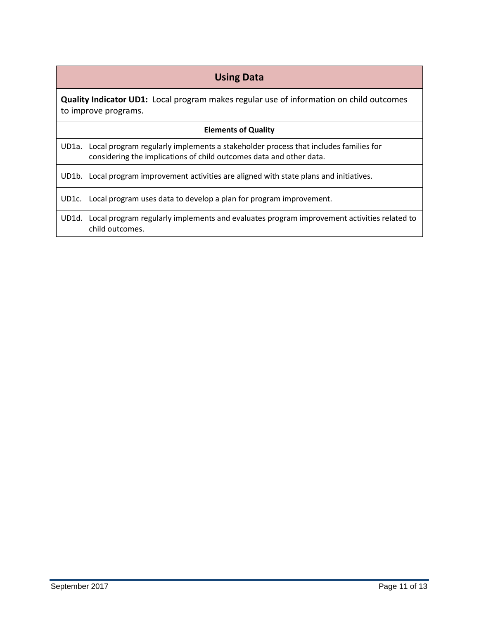## **Using Data**

<span id="page-10-0"></span>**Quality Indicator UD1:** Local program makes regular use of information on child outcomes to improve programs.

#### **Elements of Quality**

UD1a. Local program regularly implements a stakeholder process that includes families for considering the implications of child outcomes data and other data.

UD1b. Local program improvement activities are aligned with state plans and initiatives.

UD1c. Local program uses data to develop a plan for program improvement.

UD1d. Local program regularly implements and evaluates program improvement activities related to child outcomes.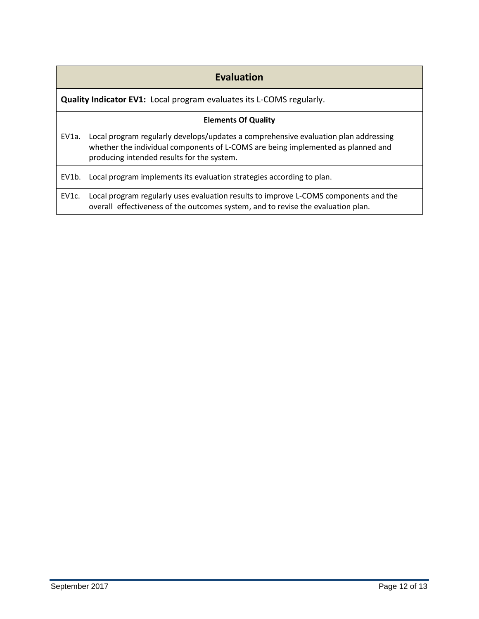## **Evaluation**

<span id="page-11-0"></span>**Quality Indicator EV1:** Local program evaluates its L-COMS regularly.

#### **Elements Of Quality**

EV1a. Local program regularly develops/updates a comprehensive evaluation plan addressing whether the individual components of L-COMS are being implemented as planned and producing intended results for the system.

EV1b. Local program implements its evaluation strategies according to plan.

EV1c. Local program regularly uses evaluation results to improve L-COMS components and the overall effectiveness of the outcomes system, and to revise the evaluation plan.